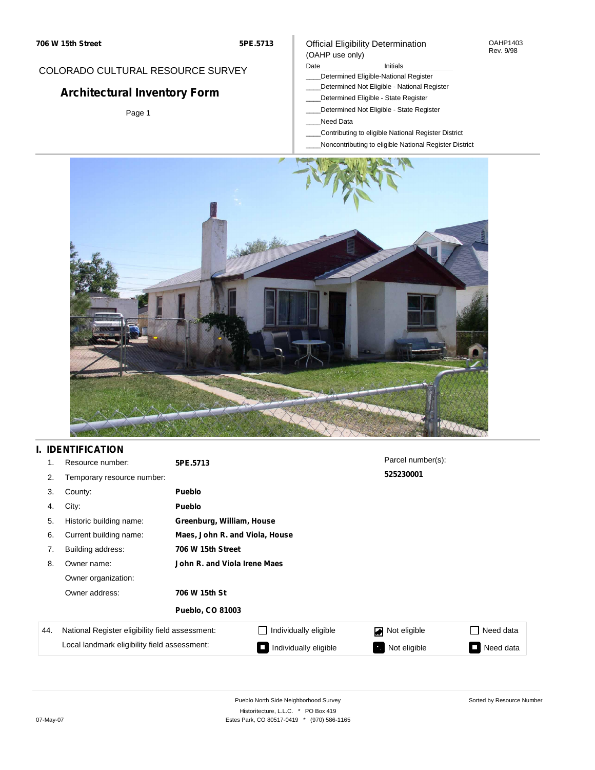## COLORADO CULTURAL RESOURCE SURVEY

# **Architectural Inventory Form**

Page 1

#### Official Eligibility Determination (OAHP use only)

Date **Initials** Initials

- \_\_\_\_Determined Eligible-National Register
- \_\_\_\_Determined Not Eligible National Register
- \_\_\_\_Determined Eligible State Register
- \_\_\_\_Determined Not Eligible State Register
- \_\_\_\_Need Data
- \_\_\_\_Contributing to eligible National Register District
- \_\_\_\_Noncontributing to eligible National Register District



### **I. IDENTIFICATION**

| 1.  | Resource number:                                | 5PE.5713                       |                           | Parcel number(s): |                             |  |  |
|-----|-------------------------------------------------|--------------------------------|---------------------------|-------------------|-----------------------------|--|--|
| 2.  | Temporary resource number:                      |                                |                           | 525230001         |                             |  |  |
| 3.  | County:                                         | <b>Pueblo</b>                  |                           |                   |                             |  |  |
| 4.  | City:                                           | <b>Pueblo</b>                  |                           |                   |                             |  |  |
| 5.  | Historic building name:                         |                                | Greenburg, William, House |                   |                             |  |  |
| 6.  | Current building name:                          | Maes, John R. and Viola, House |                           |                   |                             |  |  |
| 7.  | Building address:                               | 706 W 15th Street              |                           |                   |                             |  |  |
| 8.  | Owner name:                                     | John R. and Viola Irene Maes   |                           |                   |                             |  |  |
|     | Owner organization:                             |                                |                           |                   |                             |  |  |
|     | Owner address:                                  | 706 W 15th St                  |                           |                   |                             |  |  |
|     |                                                 | <b>Pueblo, CO 81003</b>        |                           |                   |                             |  |  |
| 44. | National Register eligibility field assessment: |                                | Individually eligible     | Not eligible      | Need data<br>$\blacksquare$ |  |  |
|     | Local landmark eligibility field assessment:    |                                | Individually eligible     | Not eligible      | Need data<br>Ξ              |  |  |

OAHP1403 Rev. 9/98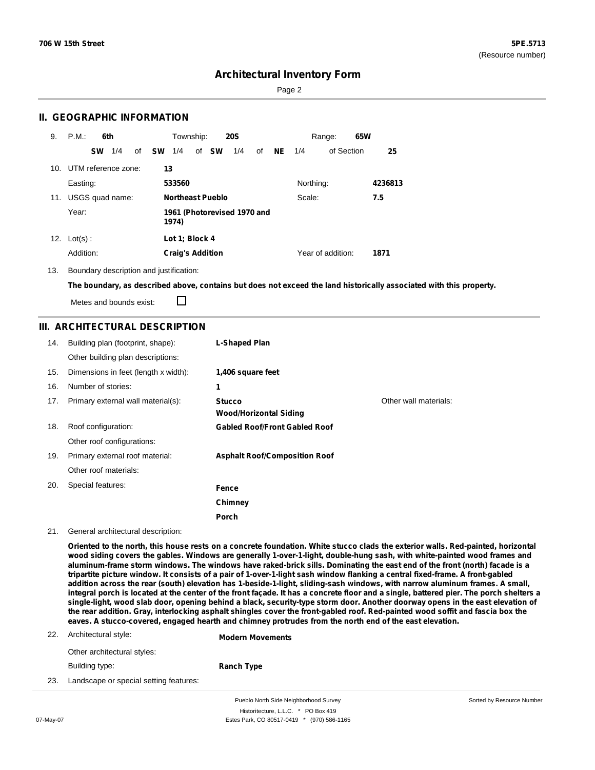Sorted by Resource Number

### **Architectural Inventory Form**

Page 2

### **II. GEOGRAPHIC INFORMATION**

| 9.  | P.M.<br>6th                                   | Township:<br><b>20S</b>                  | 65W<br>Range:                |
|-----|-----------------------------------------------|------------------------------------------|------------------------------|
|     | 1/4<br><b>SW</b><br>of                        | – SW<br>of <b>SW</b><br>1/4<br>1/4<br>of | of Section<br>$NE$ 1/4<br>25 |
|     | 10. UTM reference zone:                       | 13                                       |                              |
|     | Easting:                                      | 533560                                   | Northing:<br>4236813         |
| 11. | USGS quad name:                               | <b>Northeast Pueblo</b>                  | 7.5<br>Scale:                |
|     | Year:<br>1961 (Photorevised 1970 and<br>1974) |                                          |                              |
| 12. | $Lot(s)$ :                                    | Lot 1; Block 4                           |                              |
|     | Addition:                                     | <b>Craig's Addition</b>                  | Year of addition:<br>1871    |

13. Boundary description and justification:

The boundary, as described above, contains but does not exceed the land historically associated with this property.

Metes and bounds exist:

П

### **III. ARCHITECTURAL DESCRIPTION**

| 14. | Building plan (footprint, shape):    | L-Shaped Plan                           |                       |
|-----|--------------------------------------|-----------------------------------------|-----------------------|
|     | Other building plan descriptions:    |                                         |                       |
| 15. | Dimensions in feet (length x width): | 1,406 square feet                       |                       |
| 16. | Number of stories:                   | 1                                       |                       |
| 17. | Primary external wall material(s):   | <b>Stucco</b><br>Wood/Horizontal Siding | Other wall materials: |
| 18. | Roof configuration:                  | <b>Gabled Roof/Front Gabled Roof</b>    |                       |
|     | Other roof configurations:           |                                         |                       |
| 19. | Primary external roof material:      | <b>Asphalt Roof/Composition Roof</b>    |                       |
|     | Other roof materials:                |                                         |                       |
| 20. | Special features:                    | Fence                                   |                       |
|     |                                      | Chimney                                 |                       |
|     |                                      | Porch                                   |                       |

#### 21. General architectural description:

Oriented to the north, this house rests on a concrete foundation. White stucco clads the exterior walls. Red-painted, horizontal wood siding covers the gables. Windows are generally 1-over-1-light, double-hung sash, with white-painted wood frames and aluminum-frame storm windows. The windows have raked-brick sills. Dominating the east end of the front (north) facade is a tripartite picture window. It consists of a pair of 1-over-1-light sash window flanking a central fixed-frame. A front-gabled addition across the rear (south) elevation has 1-beside-1-light, sliding-sash windows, with narrow aluminum frames. A small, integral porch is located at the center of the front façade. It has a concrete floor and a single, battered pier. The porch shelters a single-light, wood slab door, opening behind a black, security-type storm door. Another doorway opens in the east elevation of the rear addition. Gray, interlocking asphalt shingles cover the front-gabled roof. Red-painted wood soffit and fascia box the **eaves. A stucco-covered, engaged hearth and chimney protrudes from the north end of the east elevation.**

|     | 22. Architectural style:               | <b>Modern Movements</b> |
|-----|----------------------------------------|-------------------------|
|     | Other architectural styles:            |                         |
|     | Building type:                         | <b>Ranch Type</b>       |
| 23. | Landscape or special setting features: |                         |

Pueblo North Side Neighborhood Survey Historitecture, L.L.C. \* PO Box 419 07-May-07 **Estes Park, CO 80517-0419** \* (970) 586-1165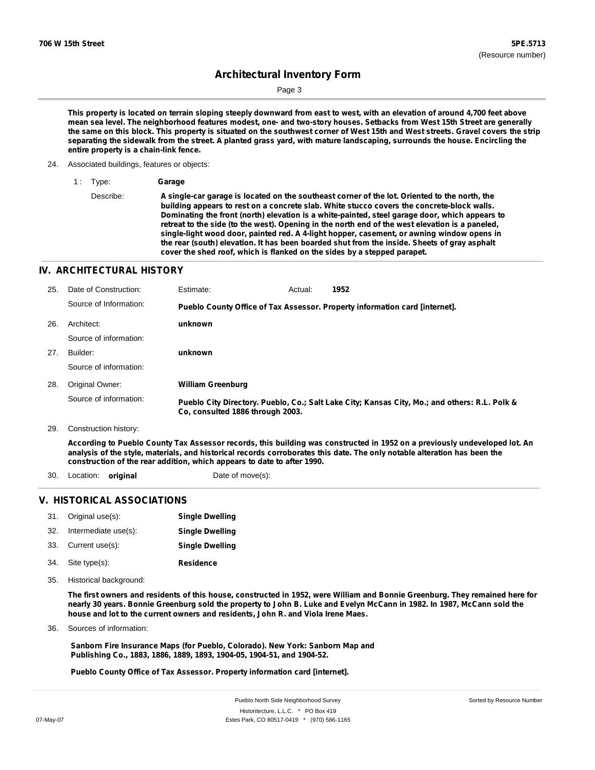Sorted by Resource Number

# **Architectural Inventory Form**

Page 3

This property is located on terrain sloping steeply downward from east to west, with an elevation of around 4,700 feet above mean sea level. The neighborhood features modest, one- and two-story houses. Setbacks from West 15th Street are generally the same on this block. This property is situated on the southwest corner of West 15th and West streets. Gravel covers the strip separating the sidewalk from the street. A planted grass yard, with mature landscaping, surrounds the house. Encircling the **entire property is a chain-link fence.**

24. Associated buildings, features or objects:

1 : Type: **Garage**

Describe: **A single-car garage is located on the southeast corner of the lot. Oriented to the north, the building appears to rest on a concrete slab. White stucco covers the concrete-block walls. Dominating the front (north) elevation is a white-painted, steel garage door, which appears to** retreat to the side (to the west). Opening in the north end of the west elevation is a paneled, **single-light wood door, painted red. A 4-light hopper, casement, or awning window opens in the rear (south) elevation. It has been boarded shut from the inside. Sheets of gray asphalt cover the shed roof, which is flanked on the sides by a stepped parapet.**

#### **IV. ARCHITECTURAL HISTORY**

| 25. | Date of Construction:  | Estimate:                        | Actual: | 1952                                                                                          |
|-----|------------------------|----------------------------------|---------|-----------------------------------------------------------------------------------------------|
|     | Source of Information: |                                  |         | Pueblo County Office of Tax Assessor. Property information card [internet].                   |
| 26. | Architect:             | unknown                          |         |                                                                                               |
|     | Source of information: |                                  |         |                                                                                               |
| 27. | Builder:               | unknown                          |         |                                                                                               |
|     | Source of information: |                                  |         |                                                                                               |
| 28. | Original Owner:        | <b>William Greenburg</b>         |         |                                                                                               |
|     | Source of information: | Co. consulted 1886 through 2003. |         | Pueblo City Directory. Pueblo, Co.; Salt Lake City; Kansas City, Mo.; and others: R.L. Polk & |
| 29. | Construction history:  |                                  |         |                                                                                               |

According to Pueblo County Tax Assessor records, this building was constructed in 1952 on a previously undeveloped lot. An analysis of the style, materials, and historical records corroborates this date. The only notable alteration has been the **construction of the rear addition, which appears to date to after 1990.**

30. Location: **original** Date of move(s):

### **V. HISTORICAL ASSOCIATIONS**

|     | 31. Original use(s): | <b>Single Dwelling</b> |
|-----|----------------------|------------------------|
| 32. | Intermediate use(s): | <b>Single Dwelling</b> |
| 33. | Current use(s):      | <b>Single Dwelling</b> |
| 34. | Site type(s):        | <b>Residence</b>       |

35. Historical background:

The first owners and residents of this house, constructed in 1952, were William and Bonnie Greenburg. They remained here for nearly 30 years. Bonnie Greenburg sold the property to John B. Luke and Evelyn McCann in 1982. In 1987, McCann sold the **house and lot to the current owners and residents, John R. and Viola Irene Maes.**

Sources of information: 36.

> **Sanborn Fire Insurance Maps (for Pueblo, Colorado). New York: Sanborn Map and Publishing Co., 1883, 1886, 1889, 1893, 1904-05, 1904-51, and 1904-52.**

**Pueblo County Office of Tax Assessor. Property information card [internet].**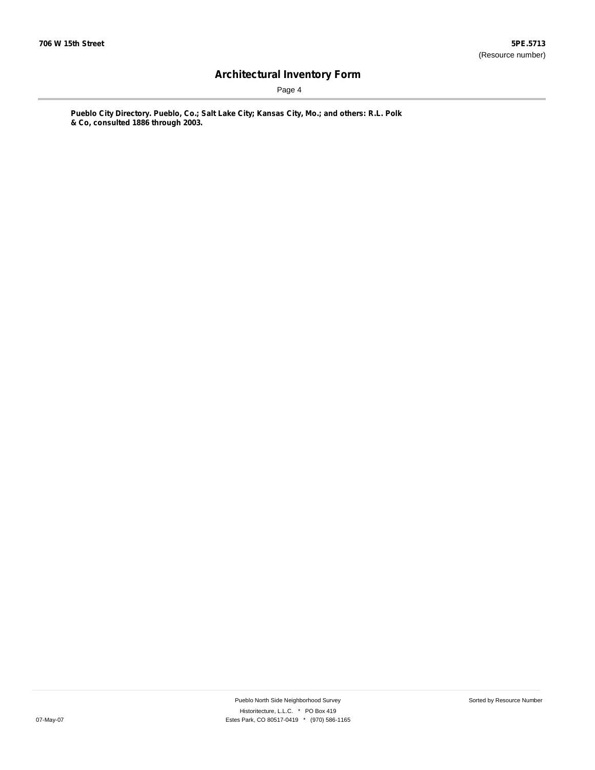Page 4

**Pueblo City Directory. Pueblo, Co.; Salt Lake City; Kansas City, Mo.; and others: R.L. Polk & Co, consulted 1886 through 2003.**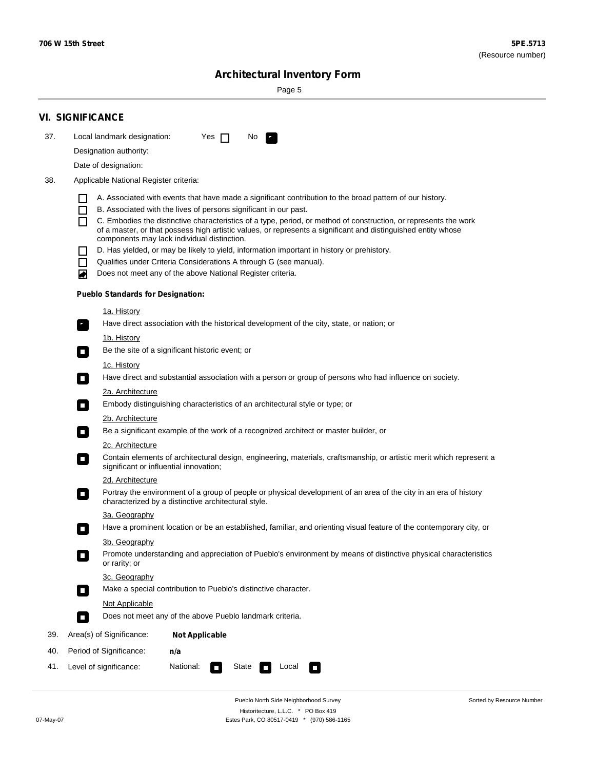Sorted by Resource Number

# **Architectural Inventory Form**

Page 5

|     | <b>VI. SIGNIFICANCE</b>                                                                                                                                                                        |  |  |  |  |  |  |  |
|-----|------------------------------------------------------------------------------------------------------------------------------------------------------------------------------------------------|--|--|--|--|--|--|--|
| 37. | Local landmark designation:<br>Yes $\Box$<br>No.<br>$\mathbf{F}_{\mathbf{r}}$                                                                                                                  |  |  |  |  |  |  |  |
|     | Designation authority:                                                                                                                                                                         |  |  |  |  |  |  |  |
|     | Date of designation:                                                                                                                                                                           |  |  |  |  |  |  |  |
| 38. | Applicable National Register criteria:                                                                                                                                                         |  |  |  |  |  |  |  |
|     |                                                                                                                                                                                                |  |  |  |  |  |  |  |
|     | A. Associated with events that have made a significant contribution to the broad pattern of our history.<br>B. Associated with the lives of persons significant in our past.<br>$\blacksquare$ |  |  |  |  |  |  |  |
|     | C. Embodies the distinctive characteristics of a type, period, or method of construction, or represents the work<br>П                                                                          |  |  |  |  |  |  |  |
|     | of a master, or that possess high artistic values, or represents a significant and distinguished entity whose<br>components may lack individual distinction.                                   |  |  |  |  |  |  |  |
|     | D. Has yielded, or may be likely to yield, information important in history or prehistory.                                                                                                     |  |  |  |  |  |  |  |
|     | Qualifies under Criteria Considerations A through G (see manual).<br>$\mathcal{L}_{\mathcal{A}}$                                                                                               |  |  |  |  |  |  |  |
|     | Does not meet any of the above National Register criteria.<br>₩                                                                                                                                |  |  |  |  |  |  |  |
|     | <b>Pueblo Standards for Designation:</b>                                                                                                                                                       |  |  |  |  |  |  |  |
|     | 1a. History                                                                                                                                                                                    |  |  |  |  |  |  |  |
|     | $\overline{\mathbf{r}}_1$<br>Have direct association with the historical development of the city, state, or nation; or                                                                         |  |  |  |  |  |  |  |
|     | <u>1b. History</u>                                                                                                                                                                             |  |  |  |  |  |  |  |
|     | Be the site of a significant historic event; or<br>$\overline{\phantom{a}}$                                                                                                                    |  |  |  |  |  |  |  |
|     | 1c. History                                                                                                                                                                                    |  |  |  |  |  |  |  |
|     | Have direct and substantial association with a person or group of persons who had influence on society.<br>$\overline{\phantom{a}}$                                                            |  |  |  |  |  |  |  |
|     | 2a. Architecture                                                                                                                                                                               |  |  |  |  |  |  |  |
|     | Embody distinguishing characteristics of an architectural style or type; or<br>$\Box$                                                                                                          |  |  |  |  |  |  |  |
|     | 2b. Architecture                                                                                                                                                                               |  |  |  |  |  |  |  |
|     | Be a significant example of the work of a recognized architect or master builder, or<br>$\Box$                                                                                                 |  |  |  |  |  |  |  |
|     | 2c. Architecture                                                                                                                                                                               |  |  |  |  |  |  |  |
|     | Contain elements of architectural design, engineering, materials, craftsmanship, or artistic merit which represent a<br>$\Box$<br>significant or influential innovation;                       |  |  |  |  |  |  |  |
|     | 2d. Architecture                                                                                                                                                                               |  |  |  |  |  |  |  |
|     | Portray the environment of a group of people or physical development of an area of the city in an era of history<br>$\Box$<br>characterized by a distinctive architectural style.              |  |  |  |  |  |  |  |
|     | 3a. Geography                                                                                                                                                                                  |  |  |  |  |  |  |  |
|     | Have a prominent location or be an established, familiar, and orienting visual feature of the contemporary city, or                                                                            |  |  |  |  |  |  |  |
|     | 3b. Geography<br>Promote understanding and appreciation of Pueblo's environment by means of distinctive physical characteristics                                                               |  |  |  |  |  |  |  |
|     | or rarity; or                                                                                                                                                                                  |  |  |  |  |  |  |  |
|     | 3c. Geography                                                                                                                                                                                  |  |  |  |  |  |  |  |
|     | Make a special contribution to Pueblo's distinctive character.<br>$\overline{\phantom{a}}$                                                                                                     |  |  |  |  |  |  |  |
|     | Not Applicable                                                                                                                                                                                 |  |  |  |  |  |  |  |
|     | Does not meet any of the above Pueblo landmark criteria.<br>$\overline{\phantom{a}}$                                                                                                           |  |  |  |  |  |  |  |
| 39. | Area(s) of Significance:<br><b>Not Applicable</b>                                                                                                                                              |  |  |  |  |  |  |  |
| 40. | Period of Significance:<br>n/a                                                                                                                                                                 |  |  |  |  |  |  |  |
| 41. | National:<br>Level of significance:<br>State<br>Local<br>$\mathcal{L}_{\mathcal{A}}$<br>$\Box$                                                                                                 |  |  |  |  |  |  |  |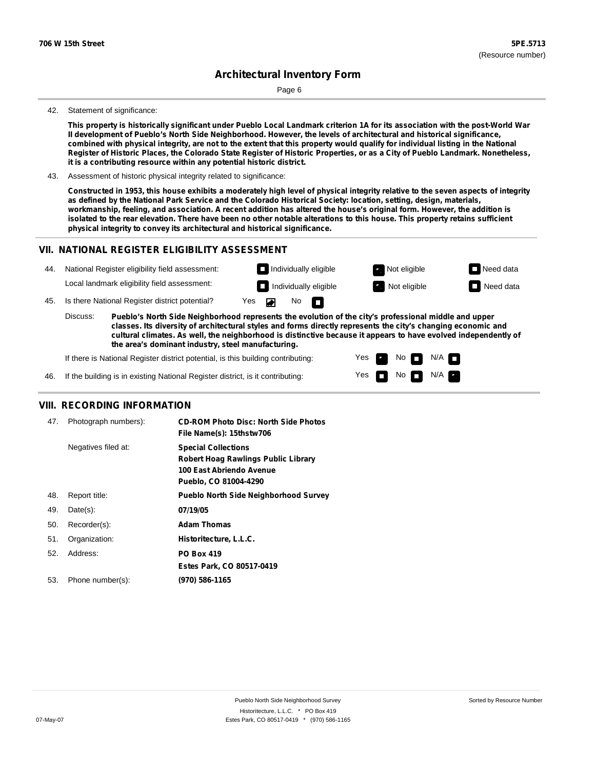Page 6

#### 42. Statement of significance:

This property is historically significant under Pueblo Local Landmark criterion 1A for its association with the post-World War **II development of Pueblo's North Side Neighborhood. However, the levels of architectural and historical significance,** combined with physical integrity, are not to the extent that this property would qualify for individual listing in the National Register of Historic Places, the Colorado State Register of Historic Properties, or as a City of Pueblo Landmark. Nonetheless, **it is a contributing resource within any potential historic district.**

43. Assessment of historic physical integrity related to significance:

Constructed in 1953, this house exhibits a moderately high level of physical integrity relative to the seven aspects of integrity as defined by the National Park Service and the Colorado Historical Society: location, setting, design, materials, workmanship, feeling, and association. A recent addition has altered the house's original form. However, the addition is isolated to the rear elevation. There have been no other notable alterations to this house. This property retains sufficient **physical integrity to convey its architectural and historical significance.**

#### **VII. NATIONAL REGISTER ELIGIBILITY ASSESSMENT**

| 44. |          | National Register eligibility field assessment:                                                                                                                                                                        |     |   |                     | $\Box$ Individually eligible | Not eligible | $\Box$ Need data |
|-----|----------|------------------------------------------------------------------------------------------------------------------------------------------------------------------------------------------------------------------------|-----|---|---------------------|------------------------------|--------------|------------------|
|     |          | Local landmark eligibility field assessment:                                                                                                                                                                           |     |   |                     | $\Box$ Individually eligible | Not eligible | $\Box$ Need data |
| 45. |          | Is there National Register district potential?                                                                                                                                                                         | Yes | E | $No$ $\blacksquare$ |                              |              |                  |
|     | Discuss: | Pueblo's North Side Neighborhood represents the evolution of the city's professional middle and upper<br>classes. Its diversity of architectural styles and forms directly represents the city's changing economic and |     |   |                     |                              |              |                  |

**classes. Its diversity of architectural styles and forms directly represents the city's changing economic and cultural climates. As well, the neighborhood is distinctive because it appears to have evolved independently of the area's dominant industry, steel manufacturing.**

> Yes Yes

No<sub>I</sub>

No  $\blacksquare$  N/A  $\blacksquare$ 

 $N/A$ 

If there is National Register district potential, is this building contributing:

46. If the building is in existing National Register district, is it contributing:

#### **VIII. RECORDING INFORMATION**

| 47. | Photograph numbers): | <b>CD-ROM Photo Disc: North Side Photos</b><br>File Name(s): 15thstw706                                                       |
|-----|----------------------|-------------------------------------------------------------------------------------------------------------------------------|
|     | Negatives filed at:  | <b>Special Collections</b><br><b>Robert Hoag Rawlings Public Library</b><br>100 East Abriendo Avenue<br>Pueblo, CO 81004-4290 |
| 48. | Report title:        | <b>Pueblo North Side Neighborhood Survey</b>                                                                                  |
| 49. | $Date(s)$ :          | 07/19/05                                                                                                                      |
| 50. | Recorder(s):         | <b>Adam Thomas</b>                                                                                                            |
| 51. | Organization:        | Historitecture, L.L.C.                                                                                                        |
| 52. | Address:             | <b>PO Box 419</b>                                                                                                             |
|     |                      | Estes Park, CO 80517-0419                                                                                                     |
| 53. | Phone number(s):     | (970) 586-1165                                                                                                                |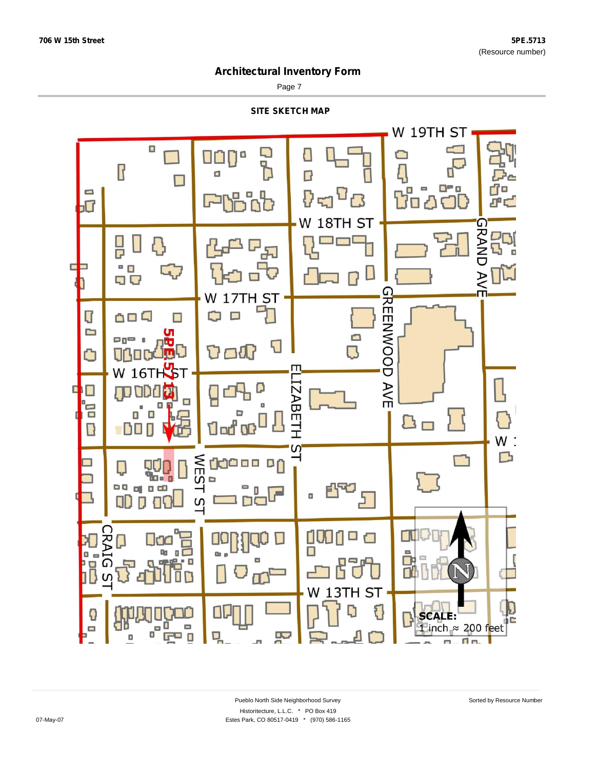Page 7